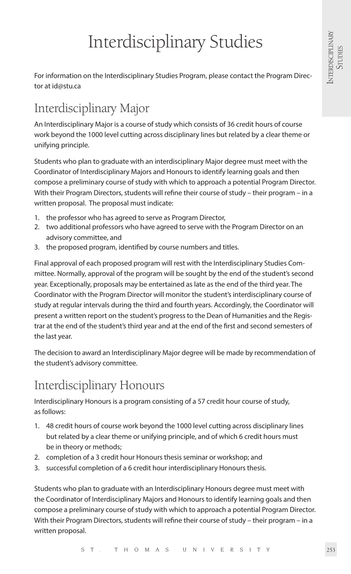# Interdisciplinary Studies

For information on the Interdisciplinary Studies Program, please contact the Program Director at id@stu.ca

## Interdisciplinary Major

An Interdisciplinary Major is a course of study which consists of 36 credit hours of course work beyond the 1000 level cutting across disciplinary lines but related by a clear theme or unifying principle.

Students who plan to graduate with an interdisciplinary Major degree must meet with the Coordinator of Interdisciplinary Majors and Honours to identify learning goals and then compose a preliminary course of study with which to approach a potential Program Director. With their Program Directors, students will refine their course of study – their program – in a written proposal. The proposal must indicate:

- 1. the professor who has agreed to serve as Program Director,
- 2. two additional professors who have agreed to serve with the Program Director on an advisory committee, and
- 3. the proposed program, identified by course numbers and titles.

Final approval of each proposed program will rest with the Interdisciplinary Studies Committee. Normally, approval of the program will be sought by the end of the student's second year. Exceptionally, proposals may be entertained as late as the end of the third year. The Coordinator with the Program Director will monitor the student's interdisciplinary course of study at regular intervals during the third and fourth years. Accordingly, the Coordinator will present a written report on the student's progress to the Dean of Humanities and the Registrar at the end of the student's third year and at the end of the first and second semesters of the last year.

The decision to award an Interdisciplinary Major degree will be made by recommendation of the student's advisory committee.

## Interdisciplinary Honours

Interdisciplinary Honours is a program consisting of a 57 credit hour course of study, as follows:

- 1. 48 credit hours of course work beyond the 1000 level cutting across disciplinary lines but related by a clear theme or unifying principle, and of which 6 credit hours must be in theory or methods;
- 2. completion of a 3 credit hour Honours thesis seminar or workshop; and
- 3. successful completion of a 6 credit hour interdisciplinary Honours thesis.

Students who plan to graduate with an Interdisciplinary Honours degree must meet with the Coordinator of Interdisciplinary Majors and Honours to identify learning goals and then compose a preliminary course of study with which to approach a potential Program Director. With their Program Directors, students will refine their course of study – their program – in a written proposal.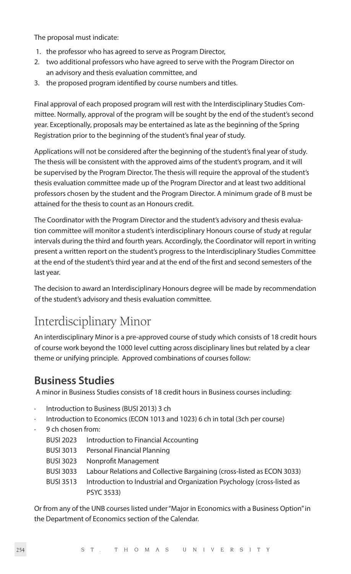The proposal must indicate:

- 1. the professor who has agreed to serve as Program Director,
- 2. two additional professors who have agreed to serve with the Program Director on an advisory and thesis evaluation committee, and
- 3. the proposed program identified by course numbers and titles.

Final approval of each proposed program will rest with the Interdisciplinary Studies Committee. Normally, approval of the program will be sought by the end of the student's second year. Exceptionally, proposals may be entertained as late as the beginning of the Spring Registration prior to the beginning of the student's final year of study.

Applications will not be considered after the beginning of the student's final year of study. The thesis will be consistent with the approved aims of the student's program, and it will be supervised by the Program Director. The thesis will require the approval of the student's thesis evaluation committee made up of the Program Director and at least two additional professors chosen by the student and the Program Director. A minimum grade of B must be attained for the thesis to count as an Honours credit.

The Coordinator with the Program Director and the student's advisory and thesis evaluation committee will monitor a student's interdisciplinary Honours course of study at regular intervals during the third and fourth years. Accordingly, the Coordinator will report in writing present a written report on the student's progress to the Interdisciplinary Studies Committee at the end of the student's third year and at the end of the first and second semesters of the last year.

The decision to award an Interdisciplinary Honours degree will be made by recommendation of the student's advisory and thesis evaluation committee.

## Interdisciplinary Minor

An interdisciplinary Minor is a pre-approved course of study which consists of 18 credit hours of course work beyond the 1000 level cutting across disciplinary lines but related by a clear theme or unifying principle. Approved combinations of courses follow:

#### **Business Studies**

A minor in Business Studies consists of 18 credit hours in Business courses including:

- Introduction to Business (BUSI 2013) 3 ch
- Introduction to Economics (ECON 1013 and 1023) 6 ch in total (3ch per course)
- 9 ch chosen from:
	- BUSI 2023 Introduction to Financial Accounting
	- BUSI 3013 Personal Financial Planning
	- BUSI 3023 Nonprofit Management
	- BUSI 3033 Labour Relations and Collective Bargaining (cross-listed as ECON 3033)
	- BUSI 3513 Introduction to Industrial and Organization Psychology (cross-listed as PSYC 3533)

Or from any of the UNB courses listed under "Major in Economics with a Business Option" in the Department of Economics section of the Calendar.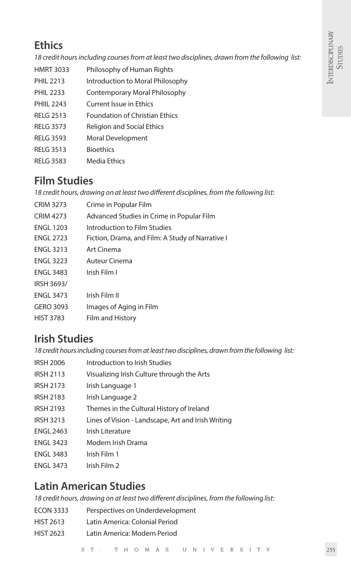### **Ethics** is a set of the set of the set of the set of the set of the set of the set of the set of the set of the set of the set of the set of the set of the set of the set of the set of the set of the set of the set of the

*18 credit hours including courses from at least two disciplines, drawn from the following list:*

- HMRT 3033 Philosophy of Human Rights
- PHIL 2213 Introduction to Moral Philosophy
- PHIL 2233 Contemporary Moral Philosophy
- PHIII 2243 Current Issue in Ethics
- RELG 2513 Foundation of Christian Ethics
- RELG 3573 Religion and Social Ethics
- RELG 3593 Moral Development
- RELG 3513 Bioethics
- RELG 3583 Media Ethics

### **Film Studies**

*18 credit hours, drawing on at least two different disciplines, from the following list:*

CRIM 3273 Crime in Popular Film CRIM 4273 Advanced Studies in Crime in Popular Film ENGL 1203 Introduction to Film Studies ENGL 2723 Fiction, Drama, and Film: A Study of Narrative I ENGL 3213 Art Cinema ENGL 3223 Auteur Cinema ENGL 3483 Irish Film I IRSH 3693/ ENGL 3473 Irish Film II GERO 3093 Images of Aging in Film HIST 3783 Film and History

### **Irish Studies**

*18 credit hours including courses from at least two disciplines, drawn from the following list:*

- IRSH 2006 Introduction to Irish Studies IRSH 2113 Visualizing Irish Culture through the Arts IRSH 2173 Irish Language 1 IRSH 2183 Irish Language 2 IRSH 2193 Themes in the Cultural History of Ireland IRSH 3213 Lines of Vision - Landscape, Art and Irish Writing ENGL 2463 Irish Literature ENGL 3423 Modern Irish Drama ENGL 3483 Irish Film 1
- ENGL 3473 Irish Film 2

### **Latin American Studies**

*18 credit hours, drawing on at least two different disciplines, from the following list:*

| <b>ECON 3333</b> | Perspectives on Underdevelopment |
|------------------|----------------------------------|
| <b>HIST 2613</b> | Latin America: Colonial Period   |
| <b>HIST 2623</b> | Latin America: Modern Period     |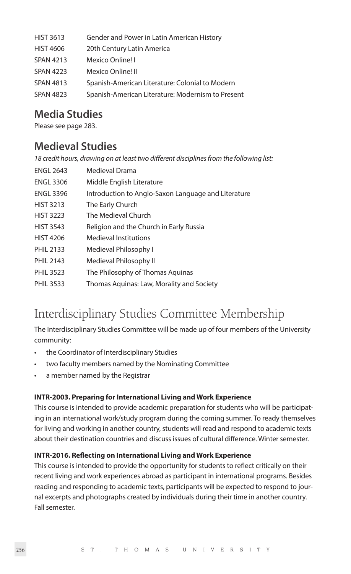| <b>HIST 3613</b> | Gender and Power in Latin American History        |
|------------------|---------------------------------------------------|
| <b>HIST 4606</b> | 20th Century Latin America                        |
| <b>SPAN 4213</b> | Mexico Online! I                                  |
| <b>SPAN 4223</b> | Mexico Online! II                                 |
| <b>SPAN 4813</b> | Spanish-American Literature: Colonial to Modern   |
| <b>SPAN 4823</b> | Spanish-American Literature: Modernism to Present |

#### **Media Studies**

Please see page 283.

#### **Medieval Studies**

*18 credit hours, drawing on at least two different disciplines from the following list:*

| <b>ENGL 2643</b> | Medieval Drama                                      |
|------------------|-----------------------------------------------------|
| <b>ENGL 3306</b> | Middle English Literature                           |
| <b>ENGL 3396</b> | Introduction to Anglo-Saxon Language and Literature |
| <b>HIST 3213</b> | The Early Church                                    |
| <b>HIST 3223</b> | The Medieval Church                                 |
| <b>HIST 3543</b> | Religion and the Church in Early Russia             |
| <b>HIST 4206</b> | <b>Medieval Institutions</b>                        |
| <b>PHIL 2133</b> | Medieval Philosophy I                               |
| <b>PHIL 2143</b> | Medieval Philosophy II                              |
| <b>PHIL 3523</b> | The Philosophy of Thomas Aquinas                    |
| <b>PHIL 3533</b> | Thomas Aguinas: Law, Morality and Society           |

## Interdisciplinary Studies Committee Membership

The Interdisciplinary Studies Committee will be made up of four members of the University community:

- the Coordinator of Interdisciplinary Studies
- two faculty members named by the Nominating Committee
- a member named by the Registrar

#### **INTR-2003. Preparing for International Living and Work Experience**

This course is intended to provide academic preparation for students who will be participating in an international work/study program during the coming summer. To ready themselves for living and working in another country, students will read and respond to academic texts about their destination countries and discuss issues of cultural difference. Winter semester.

#### **INTR-2016. Reflecting on International Living and Work Experience**

This course is intended to provide the opportunity for students to reflect critically on their recent living and work experiences abroad as participant in international programs. Besides reading and responding to academic texts, participants will be expected to respond to journal excerpts and photographs created by individuals during their time in another country. Fall semester.